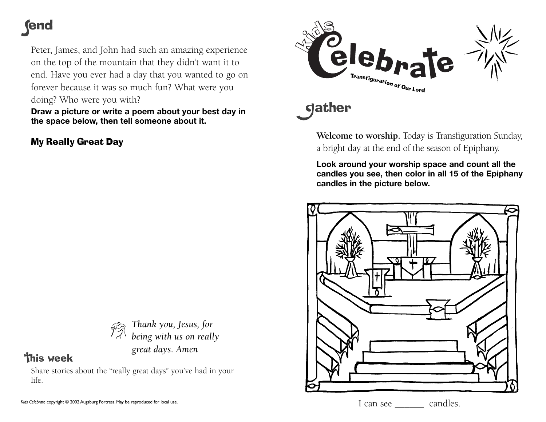## fend

Peter, James, and John had such an amazing experience on the top of the mountain that they didn't want it to end. Have you ever had a day that you wanted to go on forever because it was so much fun? What were you doing? Who were you with?

**Draw a picture or write a poem about your best day in the space below, then tell someone about it.**

My Really Great Day



## **This week**

Share stories about the "really great days" you've had in your life.



**gather** 

**Welcome to worship.** Today is Transfiguration Sunday, a bright day at the end of the season of Epiphany.

**Look around your worship space and count all the candles you see, then color in all 15 of the Epiphany candles in the picture below.**